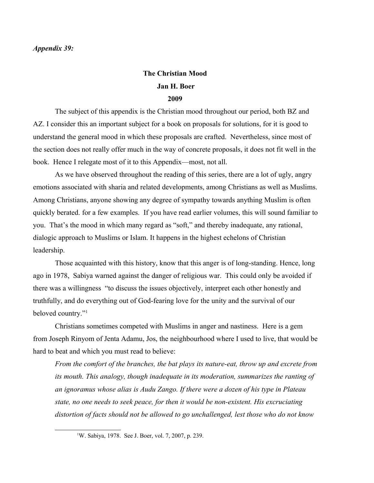## *Appendix 39:*

## **The Christian Mood Jan H. Boer 2009**

The subject of this appendix is the Christian mood throughout our period, both BZ and AZ. I consider this an important subject for a book on proposals for solutions, for it is good to understand the general mood in which these proposals are crafted. Nevertheless, since most of the section does not really offer much in the way of concrete proposals, it does not fit well in the book. Hence I relegate most of it to this Appendix—most, not all.

As we have observed throughout the reading of this series, there are a lot of ugly, angry emotions associated with sharia and related developments, among Christians as well as Muslims. Among Christians, anyone showing any degree of sympathy towards anything Muslim is often quickly berated. for a few examples. If you have read earlier volumes, this will sound familiar to you. That's the mood in which many regard as "soft," and thereby inadequate, any rational, dialogic approach to Muslims or Islam. It happens in the highest echelons of Christian leadership.

Those acquainted with this history, know that this anger is of long-standing. Hence, long ago in 1978, Sabiya warned against the danger of religious war. This could only be avoided if there was a willingness "to discuss the issues objectively, interpret each other honestly and truthfully, and do everything out of God-fearing love for the unity and the survival of our beloved country."<sup>[1](#page-0-0)</sup>

Christians sometimes competed with Muslims in anger and nastiness. Here is a gem from Joseph Rinyom of Jenta Adamu, Jos, the neighbourhood where I used to live, that would be hard to beat and which you must read to believe:

*From the comfort of the branches, the bat plays its nature-eat, throw up and excrete from its mouth. This analogy, though inadequate in its moderation, summarizes the ranting of an ignoramus whose alias is Audu Zango. If there were a dozen of his type in Plateau state, no one needs to seek peace, for then it would be non-existent. His excruciating distortion of facts should not be allowed to go unchallenged, lest those who do not know* 

<span id="page-0-0"></span><sup>&</sup>lt;sup>1</sup>W. Sabiya, 1978. See J. Boer, vol. 7, 2007, p. 239.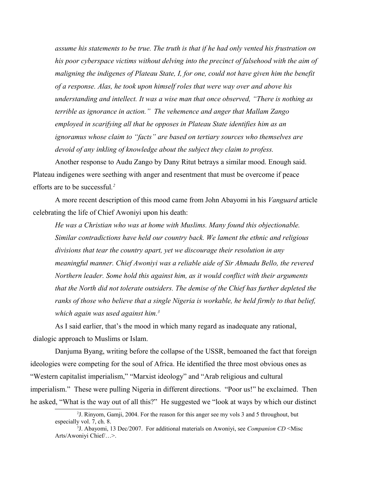*assume his statements to be true. The truth is that if he had only vented his frustration on his poor cyberspace victims without delving into the precinct of falsehood with the aim of maligning the indigenes of Plateau State, I, for one, could not have given him the benefit of a response. Alas, he took upon himself roles that were way over and above his understanding and intellect. It was a wise man that once observed, "There is nothing as terrible as ignorance in action." The vehemence and anger that Mallam Zango employed in scarifying all that he opposes in Plateau State identifies him as an ignoramus whose claim to "facts" are based on tertiary sources who themselves are devoid of any inkling of knowledge about the subject they claim to profess.*

Another response to Audu Zango by Dany Ritut betrays a similar mood. Enough said. Plateau indigenes were seething with anger and resentment that must be overcome if peace efforts are to be successful*. [2](#page-1-0)*

A more recent description of this mood came from John Abayomi in his *Vanguard* article celebrating the life of Chief Awoniyi upon his death:

*He was a Christian who was at home with Muslims. Many found this objectionable. Similar contradictions have held our country back. We lament the ethnic and religious divisions that tear the country apart, yet we discourage their resolution in any meaningful manner. Chief Awoniyi was a reliable aide of Sir Ahmadu Bello, the revered Northern leader. Some hold this against him, as it would conflict with their arguments that the North did not tolerate outsiders. The demise of the Chief has further depleted the ranks of those who believe that a single Nigeria is workable, he held firmly to that belief, which again was used against him.[3](#page-1-1)*

As I said earlier, that's the mood in which many regard as inadequate any rational, dialogic approach to Muslims or Islam.

Danjuma Byang, writing before the collapse of the USSR, bemoaned the fact that foreign ideologies were competing for the soul of Africa. He identified the three most obvious ones as "Western capitalist imperialism," "Marxist ideology" and "Arab religious and cultural imperialism." These were pulling Nigeria in different directions. "Poor us!" he exclaimed. Then he asked, "What is the way out of all this?" He suggested we "look at ways by which our distinct

<span id="page-1-0"></span><sup>&</sup>lt;sup>2</sup>J. Rinyom, Gamji, 2004. For the reason for this anger see my vols 3 and 5 throughout, but especially vol. 7, ch. 8.

<span id="page-1-1"></span><sup>3</sup> J. Abayomi, 13 Dec/2007. For additional materials on Awoniyi, see *Companion CD* <Misc Arts/Awoniyi Chief/…>.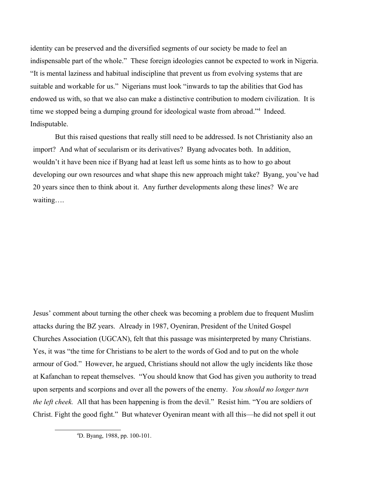identity can be preserved and the diversified segments of our society be made to feel an indispensable part of the whole." These foreign ideologies cannot be expected to work in Nigeria. "It is mental laziness and habitual indiscipline that prevent us from evolving systems that are suitable and workable for us." Nigerians must look "inwards to tap the abilities that God has endowed us with, so that we also can make a distinctive contribution to modern civilization. It is time we stopped being a dumping ground for ideological waste from abroad."<sup>[4](#page-2-0)</sup> Indeed. Indisputable.

But this raised questions that really still need to be addressed. Is not Christianity also an import? And what of secularism or its derivatives? Byang advocates both. In addition, wouldn't it have been nice if Byang had at least left us some hints as to how to go about developing our own resources and what shape this new approach might take? Byang, you've had 20 years since then to think about it. Any further developments along these lines? We are waiting….

Jesus' comment about turning the other cheek was becoming a problem due to frequent Muslim attacks during the BZ years. Already in 1987, Oyeniran, President of the United Gospel Churches Association (UGCAN), felt that this passage was misinterpreted by many Christians. Yes, it was "the time for Christians to be alert to the words of God and to put on the whole armour of God." However, he argued, Christians should not allow the ugly incidents like those at Kafanchan to repeat themselves. "You should know that God has given you authority to tread upon serpents and scorpions and over all the powers of the enemy. *You should no longer turn the left cheek.* All that has been happening is from the devil." Resist him. "You are soldiers of Christ. Fight the good fight." But whatever Oyeniran meant with all this—he did not spell it out

<span id="page-2-0"></span><sup>4</sup>D. Byang, 1988, pp. 100-101.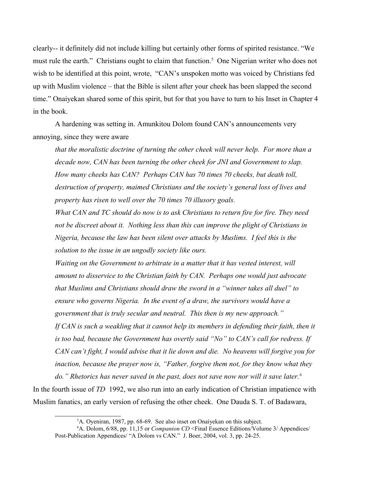clearly-- it definitely did not include killing but certainly other forms of spirited resistance. "We must rule the earth." Christians ought to claim that function.<sup>[5](#page-3-0)</sup> One Nigerian writer who does not wish to be identified at this point, wrote, "CAN's unspoken motto was voiced by Christians fed up with Muslim violence – that the Bible is silent after your cheek has been slapped the second time." Onaiyekan shared some of this spirit, but for that you have to turn to his Inset in Chapter 4 in the book.

A hardening was setting in. Amunkitou Dolom found CAN's announcements very annoying, since they were aware

*that the moralistic doctrine of turning the other cheek will never help. For more than a decade now, CAN has been turning the other cheek for JNI and Government to slap. How many cheeks has CAN? Perhaps CAN has 70 times 70 cheeks, but death toll, destruction of property, maimed Christians and the society's general loss of lives and property has risen to well over the 70 times 70 illusory goals.*

*What CAN and TC should do now is to ask Christians to return fire for fire. They need not be discreet about it. Nothing less than this can improve the plight of Christians in Nigeria, because the law has been silent over attacks by Muslims. I feel this is the solution to the issue in an ungodly society like ours.* 

*Waiting on the Government to arbitrate in a matter that it has vested interest, will amount to disservice to the Christian faith by CAN. Perhaps one would just advocate that Muslims and Christians should draw the sword in a "winner takes all duel" to ensure who governs Nigeria. In the event of a draw, the survivors would have a government that is truly secular and neutral. This then is my new approach."* If CAN is such a weakling that it cannot help its members in defending their faith, then it *is too bad, because the Government has overtly said "No" to CAN's call for redress. If CAN can't fight, I would advise that it lie down and die. No heavens will forgive you for inaction, because the prayer now is, "Father, forgive them not, for they know what they* 

*do." Rhetorics has never saved in the past, does not save now nor will it save later.[6](#page-3-1)* In the fourth issue of *TD* 1992, we also run into an early indication of Christian impatience with Muslim fanatics, an early version of refusing the other cheek. One Dauda S. T. of Badawara,

<span id="page-3-1"></span><span id="page-3-0"></span> ${}^5$ A. Oyeniran, 1987, pp. 68-69. See also inset on Onaiyekan on this subject.

<sup>6</sup>A. Dolom, 6/88, pp. 11,15 or *Companion CD* <Final Essence Editions/Volume 3/ Appendices/ Post-Publication Appendices/ "A Dolom vs CAN." J. Boer, 2004, vol. 3, pp. 24-25.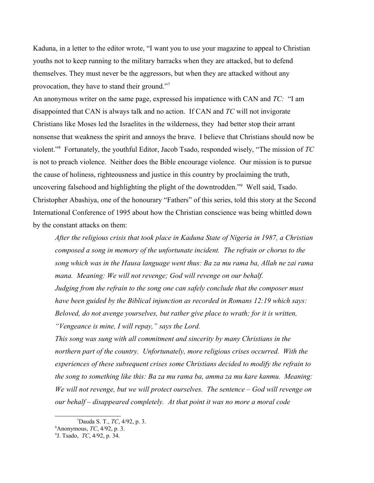Kaduna, in a letter to the editor wrote, "I want you to use your magazine to appeal to Christian youths not to keep running to the military barracks when they are attacked, but to defend themselves. They must never be the aggressors, but when they are attacked without any provocation, they have to stand their ground."[7](#page-4-0)

An anonymous writer on the same page, expressed his impatience with CAN and *TC:* "I am disappointed that CAN is always talk and no action. If CAN and *TC* will not invigorate Christians like Moses led the Israelites in the wilderness, they had better stop their arrant nonsense that weakness the spirit and annoys the brave. I believe that Christians should now be violent."[8](#page-4-1) Fortunately, the youthful Editor, Jacob Tsado, responded wisely, "The mission of *TC* is not to preach violence. Neither does the Bible encourage violence. Our mission is to pursue the cause of holiness, righteousness and justice in this country by proclaiming the truth, uncovering falsehood and highlighting the plight of the downtrodden."[9](#page-4-2) Well said, Tsado. Christopher Abashiya, one of the honourary "Fathers" of this series, told this story at the Second International Conference of 1995 about how the Christian conscience was being whittled down by the constant attacks on them:

*After the religious crisis that took place in Kaduna State of Nigeria in 1987, a Christian composed a song in memory of the unfortunate incident. The refrain or chorus to the song which was in the Hausa language went thus: Ba za mu rama ba, Allah ne zai rama mana. Meaning: We will not revenge; God will revenge on our behalf. Judging from the refrain to the song one can safely conclude that the composer must have been guided by the Biblical injunction as recorded in Romans 12:19 which says: Beloved, do not avenge yourselves, but rather give place to wrath; for it is written, "Vengeance is mine, I will repay," says the Lord.*

*This song was sung with all commitment and sincerity by many Christians in the northern part of the country. Unfortunately, more religious crises occurred. With the experiences of these subsequent crises some Christians decided to modify the refrain to the song to something like this: Ba za mu rama ba, amma za mu kare kanmu. Meaning: We will not revenge, but we will protect ourselves. The sentence – God will revenge on our behalf – disappeared completely. At that point it was no more a moral code* 

<span id="page-4-0"></span><sup>7</sup>Dauda S. T., *TC*, 4/92, p. 3.

<span id="page-4-1"></span><sup>8</sup>Anonymous, *TC*, 4/92, p. 3.

<span id="page-4-2"></span><sup>9</sup> J. Tsado, *TC*, 4/92, p. 34.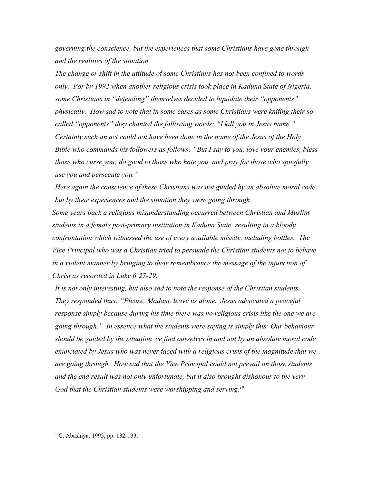*governing the conscience, but the experiences that some Christians have gone through and the realities of the situation.*

*The change or shift in the attitude of some Christians has not been confined to words only. For by 1992 when another religious crisis took place in Kaduna State of Nigeria, some Christians in "defending" themselves decided to liquidate their "opponents" physically. How sad to note that in some cases as some Christians were knifing their socalled "opponents" they chanted the following words: "I kill you in Jesus name." Certainly such an act could not have been done in the name of the Jesus of the Holy Bible who commands his followers as follows: "But I say to you, love your enemies, bless those who curse you; do good to those who hate you, and pray for those who spitefully use you and persecute you."*

*Here again the conscience of these Christians was not guided by an absolute moral code, but by their experiences and the situation they were going through.*

*Some years back a religious misunderstanding occurred between Christian and Muslim students in a female post-primary institution in Kaduna State, resulting in a bloody confrontation which witnessed the use of every available missile, including bottles. The Vice Principal who was a Christian tried to persuade the Christian students not to behave in a violent manner by bringing to their remembrance the message of the injunction of Christ as recorded in Luke 6:27-29.*

*It is not only interesting, but also sad to note the response of the Christian students. They responded thus: "Please, Madam, leave us alone. Jesus advocated a peaceful response simply because during his time there was no religious crisis like the one we are going through." In essence what the students were saying is simply this: Our behaviour should be guided by the situation we find ourselves in and not by an absolute moral code enunciated by Jesus who was never faced with a religious crisis of the magnitude that we are going through. How sad that the Vice Principal could not prevail on those students and the end result was not only unfortunate, but it also brought dishonour to the very God that the Christian students were worshipping and serving.[10](#page-5-0)*

<span id="page-5-0"></span><sup>10</sup>C. Abashiya, 1995, pp. 132-133.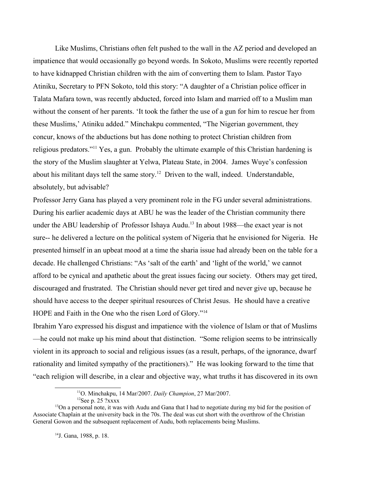Like Muslims, Christians often felt pushed to the wall in the AZ period and developed an impatience that would occasionally go beyond words. In Sokoto, Muslims were recently reported to have kidnapped Christian children with the aim of converting them to Islam. Pastor Tayo Atiniku, Secretary to PFN Sokoto, told this story: "A daughter of a Christian police officer in Talata Mafara town, was recently abducted, forced into Islam and married off to a Muslim man without the consent of her parents. 'It took the father the use of a gun for him to rescue her from these Muslims,' Atiniku added." Minchakpu commented, "The Nigerian government, they concur, knows of the abductions but has done nothing to protect Christian children from religious predators."[11](#page-6-0) Yes, a gun. Probably the ultimate example of this Christian hardening is the story of the Muslim slaughter at Yelwa, Plateau State, in 2004. James Wuye's confession about his militant days tell the same story.<sup>[12](#page-6-1)</sup> Driven to the wall, indeed. Understandable, absolutely, but advisable?

Professor Jerry Gana has played a very prominent role in the FG under several administrations. During his earlier academic days at ABU he was the leader of the Christian community there under the ABU leadership of Professor Ishaya Audu.<sup>[13](#page-6-2)</sup> In about 1988—the exact year is not sure-- he delivered a lecture on the political system of Nigeria that he envisioned for Nigeria. He presented himself in an upbeat mood at a time the sharia issue had already been on the table for a decade. He challenged Christians: "As 'salt of the earth' and 'light of the world,' we cannot afford to be cynical and apathetic about the great issues facing our society. Others may get tired, discouraged and frustrated. The Christian should never get tired and never give up, because he should have access to the deeper spiritual resources of Christ Jesus. He should have a creative HOPE and Faith in the One who the risen Lord of Glory."[14](#page-6-3)

Ibrahim Yaro expressed his disgust and impatience with the violence of Islam or that of Muslims —he could not make up his mind about that distinction. "Some religion seems to be intrinsically violent in its approach to social and religious issues (as a result, perhaps, of the ignorance, dwarf rationality and limited sympathy of the practitioners)." He was looking forward to the time that "each religion will describe, in a clear and objective way, what truths it has discovered in its own

<span id="page-6-2"></span><span id="page-6-1"></span><span id="page-6-0"></span><sup>11</sup>O. Minchakpu, 14 Mar/2007. *Daily Champion*, 27 Mar/2007.  $12$ See p. 25 ?xxxx

 $<sup>13</sup>$ On a personal note, it was with Audu and Gana that I had to negotiate during my bid for the position of</sup> Associate Chaplain at the university back in the 70s. The deal was cut short with the overthrow of the Christian General Gowon and the subsequent replacement of Audu, both replacements being Muslims.

<span id="page-6-3"></span><sup>14</sup>J. Gana, 1988, p. 18.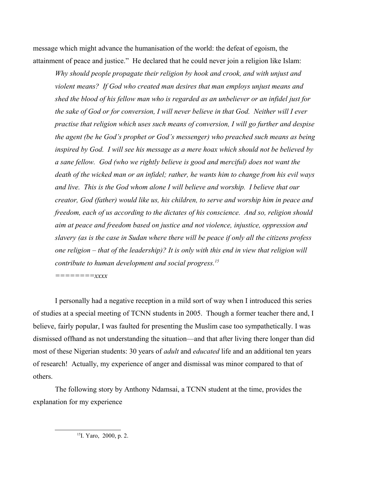message which might advance the humanisation of the world: the defeat of egoism, the attainment of peace and justice." He declared that he could never join a religion like Islam:

*Why should people propagate their religion by hook and crook, and with unjust and violent means? If God who created man desires that man employs unjust means and shed the blood of his fellow man who is regarded as an unbeliever or an infidel just for the sake of God or for conversion, I will never believe in that God. Neither will I ever practise that religion which uses such means of conversion, I will go further and despise the agent (be he God's prophet or God's messenger) who preached such means as being inspired by God. I will see his message as a mere hoax which should not be believed by a sane fellow. God (who we rightly believe is good and merciful) does not want the death of the wicked man or an infidel; rather, he wants him to change from his evil ways and live. This is the God whom alone I will believe and worship. I believe that our creator, God (father) would like us, his children, to serve and worship him in peace and freedom, each of us according to the dictates of his conscience. And so, religion should aim at peace and freedom based on justice and not violence, injustice, oppression and slavery (as is the case in Sudan where there will be peace if only all the citizens profess one religion – that of the leadership)? It is only with this end in view that religion will contribute to human development and social progress.[15](#page-7-0)*

*========xxxx*

I personally had a negative reception in a mild sort of way when I introduced this series of studies at a special meeting of TCNN students in 2005. Though a former teacher there and, I believe, fairly popular, I was faulted for presenting the Muslim case too sympathetically. I was dismissed offhand as not understanding the situation—and that after living there longer than did most of these Nigerian students: 30 years of *adult* and *educated* life and an additional ten years of research! Actually, my experience of anger and dismissal was minor compared to that of others.

The following story by Anthony Ndamsai, a TCNN student at the time, provides the explanation for my experience

<span id="page-7-0"></span><sup>15</sup>I. Yaro, 2000, p. 2.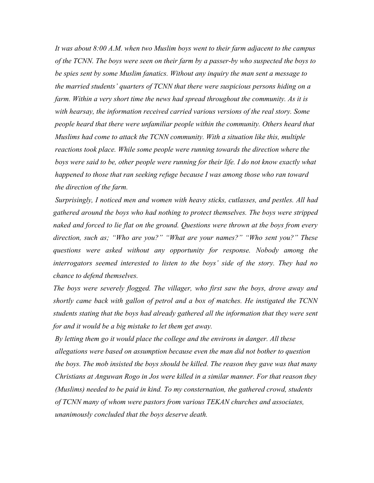*It was about 8:00 A.M. when two Muslim boys went to their farm adjacent to the campus of the TCNN. The boys were seen on their farm by a passer-by who suspected the boys to be spies sent by some Muslim fanatics. Without any inquiry the man sent a message to the married students' quarters of TCNN that there were suspicious persons hiding on a farm. Within a very short time the news had spread throughout the community. As it is with hearsay, the information received carried various versions of the real story. Some people heard that there were unfamiliar people within the community. Others heard that Muslims had come to attack the TCNN community. With a situation like this, multiple reactions took place. While some people were running towards the direction where the* boys were said to be, other people were running for their life. I do not know exactly what *happened to those that ran seeking refuge because I was among those who ran toward the direction of the farm.*

*Surprisingly, I noticed men and women with heavy sticks, cutlasses, and pestles. All had gathered around the boys who had nothing to protect themselves. The boys were stripped naked and forced to lie flat on the ground. Questions were thrown at the boys from every direction, such as; "Who are you?" "What are your names?" "Who sent you?" These questions were asked without any opportunity for response. Nobody among the interrogators seemed interested to listen to the boys' side of the story. They had no chance to defend themselves.*

*The boys were severely flogged. The villager, who first saw the boys, drove away and shortly came back with gallon of petrol and a box of matches. He instigated the TCNN students stating that the boys had already gathered all the information that they were sent for and it would be a big mistake to let them get away.* 

*By letting them go it would place the college and the environs in danger. All these allegations were based on assumption because even the man did not bother to question the boys. The mob insisted the boys should be killed. The reason they gave was that many Christians at Anguwan Rogo in Jos were killed in a similar manner. For that reason they (Muslims) needed to be paid in kind. To my consternation, the gathered crowd, students of TCNN many of whom were pastors from various TEKAN churches and associates, unanimously concluded that the boys deserve death.*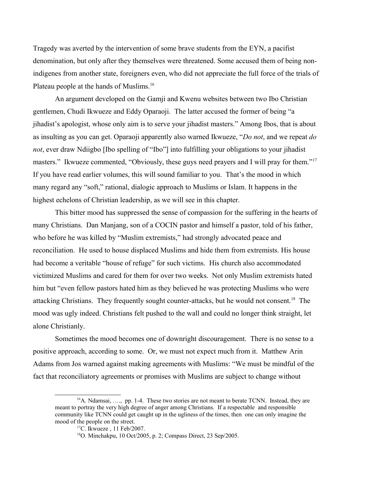Tragedy was averted by the intervention of some brave students from the EYN, a pacifist denomination, but only after they themselves were threatened. Some accused them of being nonindigenes from another state, foreigners even, who did not appreciate the full force of the trials of Plateau people at the hands of Muslims.<sup>[16](#page-9-0)</sup>

An argument developed on the Gamji and Kwenu websites between two Ibo Christian gentlemen, Chudi Ikwueze and Eddy Oparaoji. The latter accused the former of being "a jihadist's apologist, whose only aim is to serve your jihadist masters." Among Ibos, that is about as insulting as you can get. Oparaoji apparently also warned Ikwueze, "*Do not*, and we repeat *do not*, ever draw Ndiigbo [Ibo spelling of "Ibo"] into fulfilling your obligations to your jihadist masters." Ikwueze commented, "Obviously, these guys need prayers and I will pray for them."<sup>[17](#page-9-1)</sup> If you have read earlier volumes, this will sound familiar to you. That's the mood in which many regard any "soft," rational, dialogic approach to Muslims or Islam. It happens in the highest echelons of Christian leadership, as we will see in this chapter.

This bitter mood has suppressed the sense of compassion for the suffering in the hearts of many Christians. Dan Manjang, son of a COCIN pastor and himself a pastor, told of his father, who before he was killed by "Muslim extremists," had strongly advocated peace and reconciliation. He used to house displaced Muslims and hide them from extremists. His house had become a veritable "house of refuge" for such victims. His church also accommodated victimized Muslims and cared for them for over two weeks. Not only Muslim extremists hated him but "even fellow pastors hated him as they believed he was protecting Muslims who were attacking Christians. They frequently sought counter-attacks, but he would not consent.<sup>[18](#page-9-2)</sup> The mood was ugly indeed. Christians felt pushed to the wall and could no longer think straight, let alone Christianly.

Sometimes the mood becomes one of downright discouragement. There is no sense to a positive approach, according to some. Or, we must not expect much from it. Matthew Arin Adams from Jos warned against making agreements with Muslims: "We must be mindful of the fact that reconciliatory agreements or promises with Muslims are subject to change without

<span id="page-9-0"></span> $16A$ . Ndamsai, ..., pp. 1-4. These two stories are not meant to berate TCNN. Instead, they are meant to portray the very high degree of anger among Christians. If a respectable and responsible community like TCNN could get caught up in the ugliness of the times, then one can only imagine the mood of the people on the street.

<span id="page-9-1"></span><sup>17</sup>C. Ikwueze , 11 Feb/2007.

<span id="page-9-2"></span><sup>18</sup>O. Minchakpu, 10 Oct/2005, p. 2; Compass Direct, 23 Sep/2005.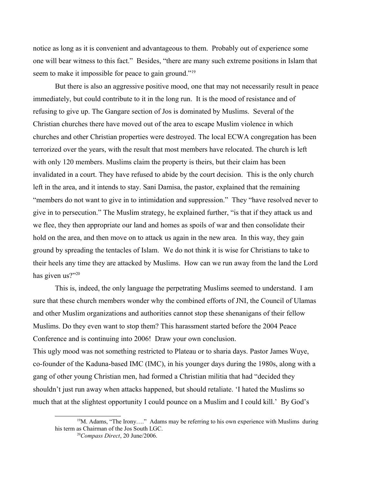notice as long as it is convenient and advantageous to them. Probably out of experience some one will bear witness to this fact." Besides, "there are many such extreme positions in Islam that seem to make it impossible for peace to gain ground."<sup>[19](#page-10-0)</sup>

But there is also an aggressive positive mood, one that may not necessarily result in peace immediately, but could contribute to it in the long run. It is the mood of resistance and of refusing to give up. The Gangare section of Jos is dominated by Muslims. Several of the Christian churches there have moved out of the area to escape Muslim violence in which churches and other Christian properties were destroyed. The local ECWA congregation has been terrorized over the years, with the result that most members have relocated. The church is left with only 120 members. Muslims claim the property is theirs, but their claim has been invalidated in a court. They have refused to abide by the court decision. This is the only church left in the area, and it intends to stay. Sani Damisa, the pastor, explained that the remaining "members do not want to give in to intimidation and suppression." They "have resolved never to give in to persecution." The Muslim strategy, he explained further, "is that if they attack us and we flee, they then appropriate our land and homes as spoils of war and then consolidate their hold on the area, and then move on to attack us again in the new area. In this way, they gain ground by spreading the tentacles of Islam. We do not think it is wise for Christians to take to their heels any time they are attacked by Muslims. How can we run away from the land the Lord has given us?"<sup>[20](#page-10-1)</sup>

This is, indeed, the only language the perpetrating Muslims seemed to understand. I am sure that these church members wonder why the combined efforts of JNI, the Council of Ulamas and other Muslim organizations and authorities cannot stop these shenanigans of their fellow Muslims. Do they even want to stop them? This harassment started before the 2004 Peace Conference and is continuing into 2006! Draw your own conclusion. This ugly mood was not something restricted to Plateau or to sharia days. Pastor James Wuye, co-founder of the Kaduna-based IMC (IMC), in his younger days during the 1980s, along with a gang of other young Christian men, had formed a Christian militia that had "decided they shouldn't just run away when attacks happened, but should retaliate. 'I hated the Muslims so much that at the slightest opportunity I could pounce on a Muslim and I could kill.' By God's

 $19M$ . Adams, "The Irony...." Adams may be referring to his own experience with Muslims during his term as Chairman of the Jos South LGC.

<span id="page-10-1"></span><span id="page-10-0"></span><sup>20</sup>*Compass Direct*, 20 June/2006.